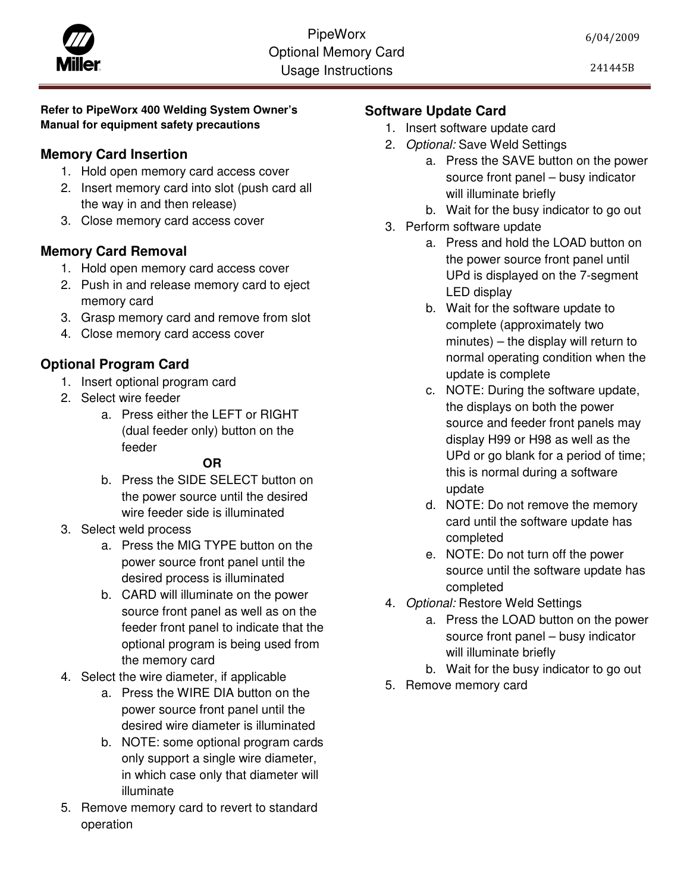#### **Refer to PipeWorx 400 Welding System Owner's Manual for equipment safety precautions**

# **Memory Card Insertion**

- 1. Hold open memory card access cover
- 2. Insert memory card into slot (push card all the way in and then release)
- 3. Close memory card access cover

### **Memory Card Removal**

- 1. Hold open memory card access cover
- 2. Push in and release memory card to eject memory card
- 3. Grasp memory card and remove from slot
- 4. Close memory card access cover

# **Optional Program Card**

- 1. Insert optional program card
- 2. Select wire feeder
	- a. Press either the LEFT or RIGHT (dual feeder only) button on the feeder

# **OR**

- b. Press the SIDE SELECT button on the power source until the desired wire feeder side is illuminated
- 3. Select weld process
	- a. Press the MIG TYPE button on the power source front panel until the desired process is illuminated
	- b. CARD will illuminate on the power source front panel as well as on the feeder front panel to indicate that the optional program is being used from the memory card
- 4. Select the wire diameter, if applicable
	- a. Press the WIRE DIA button on the power source front panel until the desired wire diameter is illuminated
	- b. NOTE: some optional program cards only support a single wire diameter, in which case only that diameter will illuminate
- 5. Remove memory card to revert to standard operation

# **Software Update Card**

- 1. Insert software update card
- 2. Optional: Save Weld Settings
	- a. Press the SAVE button on the power source front panel – busy indicator will illuminate briefly
	- b. Wait for the busy indicator to go out
- 3. Perform software update
	- a. Press and hold the LOAD button on the power source front panel until UPd is displayed on the 7-segment LED display
	- b. Wait for the software update to complete (approximately two minutes) – the display will return to normal operating condition when the update is complete
	- c. NOTE: During the software update, the displays on both the power source and feeder front panels may display H99 or H98 as well as the UPd or go blank for a period of time; this is normal during a software update
	- d. NOTE: Do not remove the memory card until the software update has completed
	- e. NOTE: Do not turn off the power source until the software update has completed
- 4. Optional: Restore Weld Settings
	- a. Press the LOAD button on the power source front panel – busy indicator will illuminate briefly
	- b. Wait for the busy indicator to go out
- 5. Remove memory card